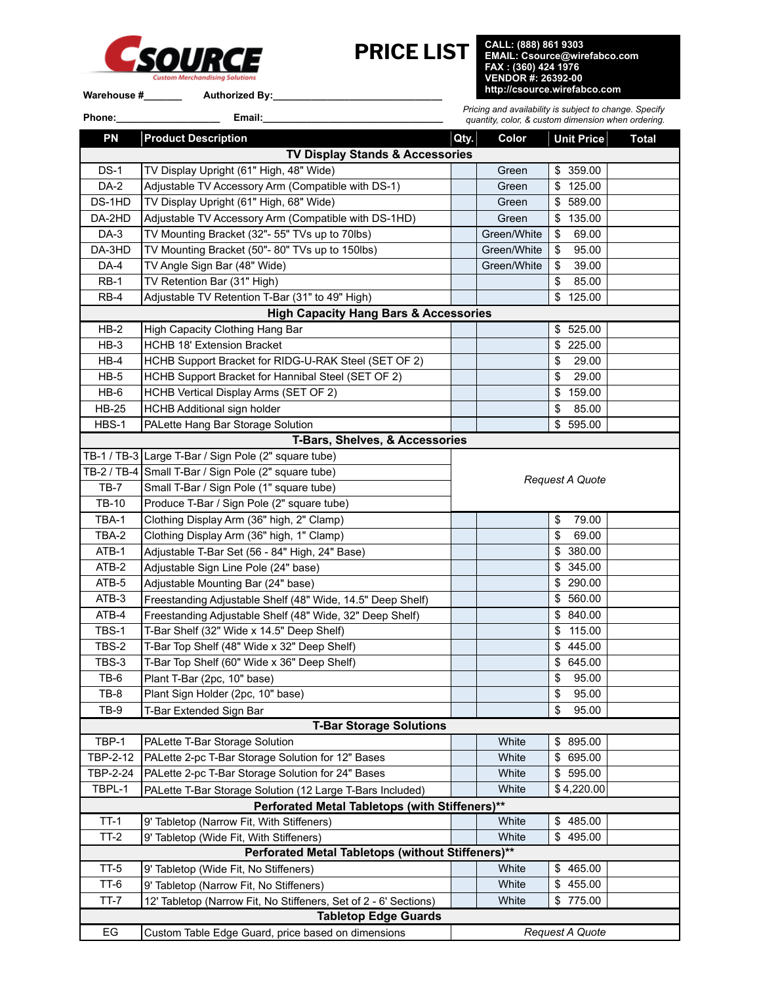

**PRICE LIST CALL: (888) 861 9303 EMAIL: Csource@wirefabco.com FAX : (360) 424 1976 VENDOR #: 26392-00**

Warehouse #\_\_\_\_\_\_\_\_\_\_ Authorized By:\_\_

**Phone:\_\_\_\_\_\_\_\_\_\_\_\_\_\_\_\_\_\_\_ Email:\_\_\_\_\_\_\_\_\_\_\_\_\_\_\_\_\_\_\_\_\_\_\_\_\_\_\_\_\_\_\_\_\_**

*Pricing and availability is subject to change. Specify quantity, color, & custom dimension when ordering.*

| <b>PN</b>                                         | <b>Product Description</b>                                       | Qty.                   | Color       | Unit Price      | <b>Total</b> |  |  |  |  |
|---------------------------------------------------|------------------------------------------------------------------|------------------------|-------------|-----------------|--------------|--|--|--|--|
| <b>TV Display Stands &amp; Accessories</b>        |                                                                  |                        |             |                 |              |  |  |  |  |
| $DS-1$                                            | TV Display Upright (61" High, 48" Wide)                          |                        | Green       | 359.00<br>\$    |              |  |  |  |  |
| DA-2                                              | Adjustable TV Accessory Arm (Compatible with DS-1)               |                        | Green       | 125.00<br>\$    |              |  |  |  |  |
| DS-1HD                                            | TV Display Upright (61" High, 68" Wide)                          |                        | Green       | 589.00<br>\$    |              |  |  |  |  |
| DA-2HD                                            | Adjustable TV Accessory Arm (Compatible with DS-1HD)             |                        | Green       | 135.00<br>\$    |              |  |  |  |  |
| DA-3                                              | TV Mounting Bracket (32"- 55" TVs up to 70lbs)                   |                        | Green/White | 69.00<br>\$     |              |  |  |  |  |
| DA-3HD                                            | TV Mounting Bracket (50"- 80" TVs up to 150lbs)                  |                        | Green/White | 95.00<br>\$     |              |  |  |  |  |
| DA-4                                              | TV Angle Sign Bar (48" Wide)                                     |                        | Green/White | 39.00<br>\$     |              |  |  |  |  |
| $RB-1$                                            | TV Retention Bar (31" High)                                      |                        |             | 85.00<br>\$     |              |  |  |  |  |
| $RB-4$                                            | Adjustable TV Retention T-Bar (31" to 49" High)                  |                        |             | 125.00<br>\$    |              |  |  |  |  |
| <b>High Capacity Hang Bars &amp; Accessories</b>  |                                                                  |                        |             |                 |              |  |  |  |  |
| $HB-2$                                            | High Capacity Clothing Hang Bar                                  |                        |             | \$525.00        |              |  |  |  |  |
| $HB-3$                                            | HCHB 18' Extension Bracket                                       |                        |             | 225.00<br>\$    |              |  |  |  |  |
| $HB-4$                                            | HCHB Support Bracket for RIDG-U-RAK Steel (SET OF 2)             |                        |             | 29.00<br>\$     |              |  |  |  |  |
| $HB-5$                                            | HCHB Support Bracket for Hannibal Steel (SET OF 2)               |                        |             | 29.00<br>\$     |              |  |  |  |  |
| $HB-6$                                            | HCHB Vertical Display Arms (SET OF 2)                            |                        |             | 159.00<br>\$    |              |  |  |  |  |
| <b>HB-25</b>                                      | HCHB Additional sign holder                                      |                        |             | 85.00<br>\$     |              |  |  |  |  |
| HBS-1                                             | PALette Hang Bar Storage Solution                                |                        |             | 595.00<br>\$    |              |  |  |  |  |
|                                                   | T-Bars, Shelves, & Accessories                                   |                        |             |                 |              |  |  |  |  |
|                                                   | TB-1 / TB-3 Large T-Bar / Sign Pole (2" square tube)             |                        |             |                 |              |  |  |  |  |
|                                                   | TB-2 / TB-4 Small T-Bar / Sign Pole (2" square tube)             | <b>Request A Quote</b> |             |                 |              |  |  |  |  |
| $TB-7$                                            | Small T-Bar / Sign Pole (1" square tube)                         |                        |             |                 |              |  |  |  |  |
| TB-10                                             | Produce T-Bar / Sign Pole (2" square tube)                       |                        |             |                 |              |  |  |  |  |
| TBA-1                                             | Clothing Display Arm (36" high, 2" Clamp)                        |                        |             | 79.00<br>\$     |              |  |  |  |  |
| TBA-2                                             | Clothing Display Arm (36" high, 1" Clamp)                        |                        |             | 69.00<br>\$     |              |  |  |  |  |
| ATB-1                                             | Adjustable T-Bar Set (56 - 84" High, 24" Base)                   |                        |             | 380.00<br>\$    |              |  |  |  |  |
| ATB-2                                             | Adjustable Sign Line Pole (24" base)                             |                        |             | 345.00<br>\$    |              |  |  |  |  |
| ATB-5                                             | Adjustable Mounting Bar (24" base)                               |                        |             | 290.00<br>\$    |              |  |  |  |  |
| ATB-3                                             | Freestanding Adjustable Shelf (48" Wide, 14.5" Deep Shelf)       |                        |             | 560.00<br>\$    |              |  |  |  |  |
| ATB-4                                             | Freestanding Adjustable Shelf (48" Wide, 32" Deep Shelf)         |                        |             | 840.00<br>\$    |              |  |  |  |  |
| TBS-1                                             | T-Bar Shelf (32" Wide x 14.5" Deep Shelf)                        |                        |             | 115.00<br>\$    |              |  |  |  |  |
| TBS-2                                             | T-Bar Top Shelf (48" Wide x 32" Deep Shelf)                      |                        |             | 445.00<br>\$    |              |  |  |  |  |
| TBS-3                                             | T-Bar Top Shelf (60" Wide x 36" Deep Shelf)                      |                        |             | 645.00<br>\$    |              |  |  |  |  |
| TB-6                                              | Plant T-Bar (2pc, 10" base)                                      |                        |             | 95.00<br>\$     |              |  |  |  |  |
| $TB-8$                                            | Plant Sign Holder (2pc, 10" base)                                |                        |             | \$<br>95.00     |              |  |  |  |  |
| TB-9                                              | T-Bar Extended Sign Bar                                          |                        |             | \$<br>95.00     |              |  |  |  |  |
|                                                   | <b>T-Bar Storage Solutions</b>                                   |                        |             |                 |              |  |  |  |  |
| TBP-1                                             | PALette T-Bar Storage Solution                                   |                        | White       | 895.00<br>\$    |              |  |  |  |  |
| TBP-2-12                                          | PALette 2-pc T-Bar Storage Solution for 12" Bases                |                        | White       | 695.00<br>\$    |              |  |  |  |  |
| TBP-2-24                                          | PALette 2-pc T-Bar Storage Solution for 24" Bases                |                        | White       | 595.00<br>\$    |              |  |  |  |  |
| TBPL-1                                            | PALette T-Bar Storage Solution (12 Large T-Bars Included)        |                        | White       | \$4,220.00      |              |  |  |  |  |
|                                                   | Perforated Metal Tabletops (with Stiffeners)**                   |                        |             |                 |              |  |  |  |  |
| $TT-1$                                            | 9' Tabletop (Narrow Fit, With Stiffeners)                        |                        | White       | \$485.00        |              |  |  |  |  |
| $TT-2$                                            | 9' Tabletop (Wide Fit, With Stiffeners)                          |                        | White       | 495.00<br>\$    |              |  |  |  |  |
| Perforated Metal Tabletops (without Stiffeners)** |                                                                  |                        |             |                 |              |  |  |  |  |
| $TT-5$                                            | 9' Tabletop (Wide Fit, No Stiffeners)                            |                        | White       | 465.00<br>\$    |              |  |  |  |  |
| TT-6                                              | 9' Tabletop (Narrow Fit, No Stiffeners)                          |                        | White       | 455.00<br>\$    |              |  |  |  |  |
| $TT-7$                                            | 12' Tabletop (Narrow Fit, No Stiffeners, Set of 2 - 6' Sections) |                        | White       | 775.00<br>\$    |              |  |  |  |  |
| <b>Tabletop Edge Guards</b>                       |                                                                  |                        |             |                 |              |  |  |  |  |
| EG                                                | Custom Table Edge Guard, price based on dimensions               |                        |             | Request A Quote |              |  |  |  |  |